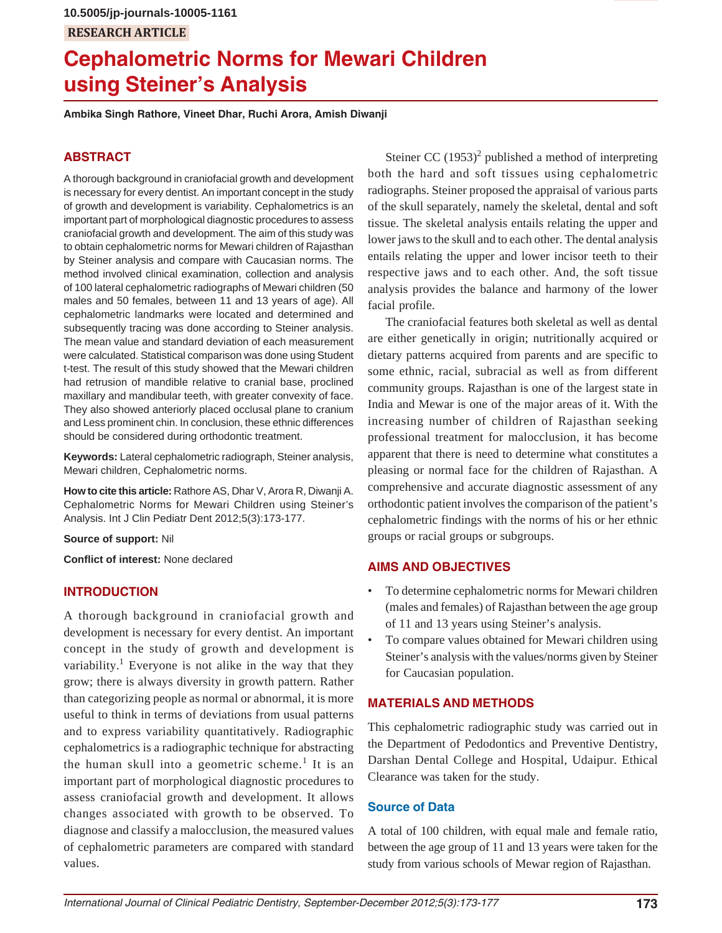# **RESEARCH ARTICLE 10.5005/jp-journals-10005-1161**

# **Cephalometric Norms for Mewari Children using Steiner's Analysis**

**Ambika Singh Rathore, Vineet Dhar, Ruchi Arora, Amish Diwanji**

# **ABSTRACT**

A thorough background in craniofacial growth and development is necessary for every dentist. An important concept in the study of growth and development is variability. Cephalometrics is an important part of morphological diagnostic procedures to assess craniofacial growth and development. The aim of this study was to obtain cephalometric norms for Mewari children of Rajasthan by Steiner analysis and compare with Caucasian norms. The method involved clinical examination, collection and analysis of 100 lateral cephalometric radiographs of Mewari children (50 males and 50 females, between 11 and 13 years of age). All cephalometric landmarks were located and determined and subsequently tracing was done according to Steiner analysis. The mean value and standard deviation of each measurement were calculated. Statistical comparison was done using Student t-test. The result of this study showed that the Mewari children had retrusion of mandible relative to cranial base, proclined maxillary and mandibular teeth, with greater convexity of face. They also showed anteriorly placed occlusal plane to cranium and Less prominent chin. In conclusion, these ethnic differences should be considered during orthodontic treatment.

**Keywords:** Lateral cephalometric radiograph, Steiner analysis, Mewari children, Cephalometric norms.

**How to cite this article:** Rathore AS, Dhar V, Arora R, Diwanji A. Cephalometric Norms for Mewari Children using Steiner's Analysis. Int J Clin Pediatr Dent 2012;5(3):173-177.

**Source of support:** Nil

**Conflict of interest:** None declared

# **INTRODUCTION**

A thorough background in craniofacial growth and development is necessary for every dentist. An important concept in the study of growth and development is variability.<sup>1</sup> Everyone is not alike in the way that they grow; there is always diversity in growth pattern. Rather than categorizing people as normal or abnormal, it is more useful to think in terms of deviations from usual patterns and to express variability quantitatively. Radiographic cephalometrics is a radiographic technique for abstracting the human skull into a geometric scheme.<sup>1</sup> It is an important part of morphological diagnostic procedures to assess craniofacial growth and development. It allows changes associated with growth to be observed. To diagnose and classify a malocclusion, the measured values of cephalometric parameters are compared with standard values.

Steiner CC  $(1953)^2$  published a method of interpreting both the hard and soft tissues using cephalometric radiographs. Steiner proposed the appraisal of various parts of the skull separately, namely the skeletal, dental and soft tissue. The skeletal analysis entails relating the upper and lower jaws to the skull and to each other. The dental analysis entails relating the upper and lower incisor teeth to their respective jaws and to each other. And, the soft tissue analysis provides the balance and harmony of the lower facial profile.

The craniofacial features both skeletal as well as dental are either genetically in origin; nutritionally acquired or dietary patterns acquired from parents and are specific to some ethnic, racial, subracial as well as from different community groups. Rajasthan is one of the largest state in India and Mewar is one of the major areas of it. With the increasing number of children of Rajasthan seeking professional treatment for malocclusion, it has become apparent that there is need to determine what constitutes a pleasing or normal face for the children of Rajasthan. A comprehensive and accurate diagnostic assessment of any orthodontic patient involves the comparison of the patient's cephalometric findings with the norms of his or her ethnic groups or racial groups or subgroups.

# **AIMS AND OBJECTIVES**

- To determine cephalometric norms for Mewari children (males and females) of Rajasthan between the age group of 11 and 13 years using Steiner's analysis.
- To compare values obtained for Mewari children using Steiner's analysis with the values/norms given by Steiner for Caucasian population.

# **MATERIALS AND METHODS**

This cephalometric radiographic study was carried out in the Department of Pedodontics and Preventive Dentistry, Darshan Dental College and Hospital, Udaipur. Ethical Clearance was taken for the study.

#### **Source of Data**

A total of 100 children, with equal male and female ratio, between the age group of 11 and 13 years were taken for the study from various schools of Mewar region of Rajasthan.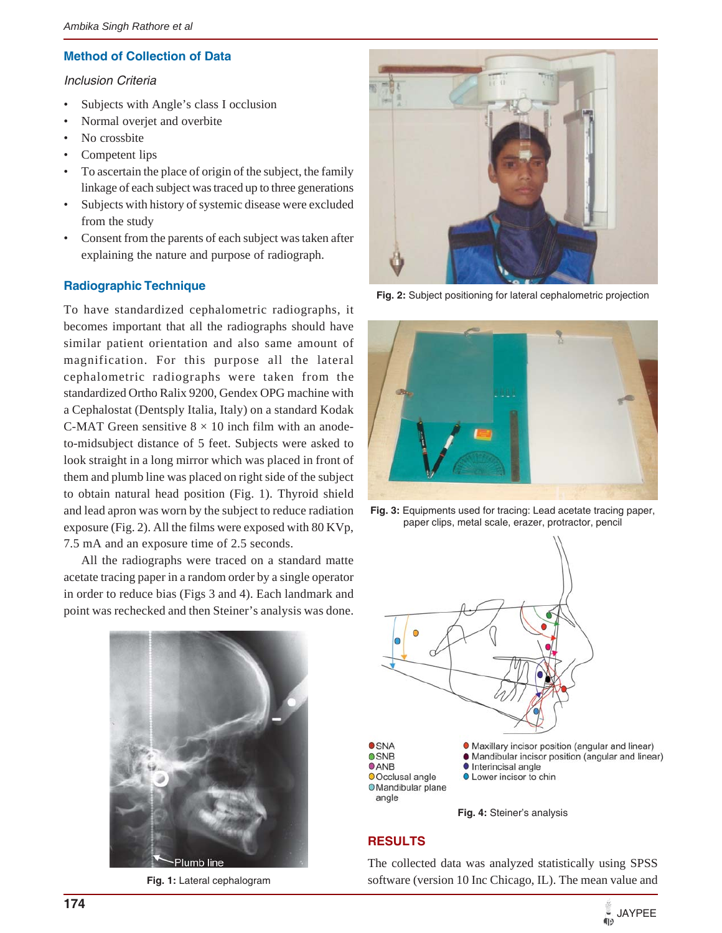#### **Method of Collection of Data**

#### *Inclusion Criteria*

- Subjects with Angle's class I occlusion
- Normal overjet and overbite
- No crossbite
- Competent lips
- To ascertain the place of origin of the subject, the family linkage of each subject was traced up to three generations
- Subjects with history of systemic disease were excluded from the study
- Consent from the parents of each subject was taken after explaining the nature and purpose of radiograph.

# **Radiographic Technique**

To have standardized cephalometric radiographs, it becomes important that all the radiographs should have similar patient orientation and also same amount of magnification. For this purpose all the lateral cephalometric radiographs were taken from the standardized Ortho Ralix 9200, Gendex OPG machine with a Cephalostat (Dentsply Italia, Italy) on a standard Kodak C-MAT Green sensitive  $8 \times 10$  inch film with an anodeto-midsubject distance of 5 feet. Subjects were asked to look straight in a long mirror which was placed in front of them and plumb line was placed on right side of the subject to obtain natural head position (Fig. 1). Thyroid shield and lead apron was worn by the subject to reduce radiation exposure (Fig. 2). All the films were exposed with 80 KVp, 7.5 mA and an exposure time of 2.5 seconds.

All the radiographs were traced on a standard matte acetate tracing paper in a random order by a single operator in order to reduce bias (Figs 3 and 4). Each landmark and point was rechecked and then Steiner's analysis was done.



**Fig. 1:** Lateral cephalogram



**Fig. 2:** Subject positioning for lateral cephalometric projection



**Fig. 3:** Equipments used for tracing: Lead acetate tracing paper, paper clips, metal scale, erazer, protractor, pencil



**Fig. 4:** Steiner's analysis

#### **RESULTS**

The collected data was analyzed statistically using SPSS software (version 10 Inc Chicago, IL). The mean value and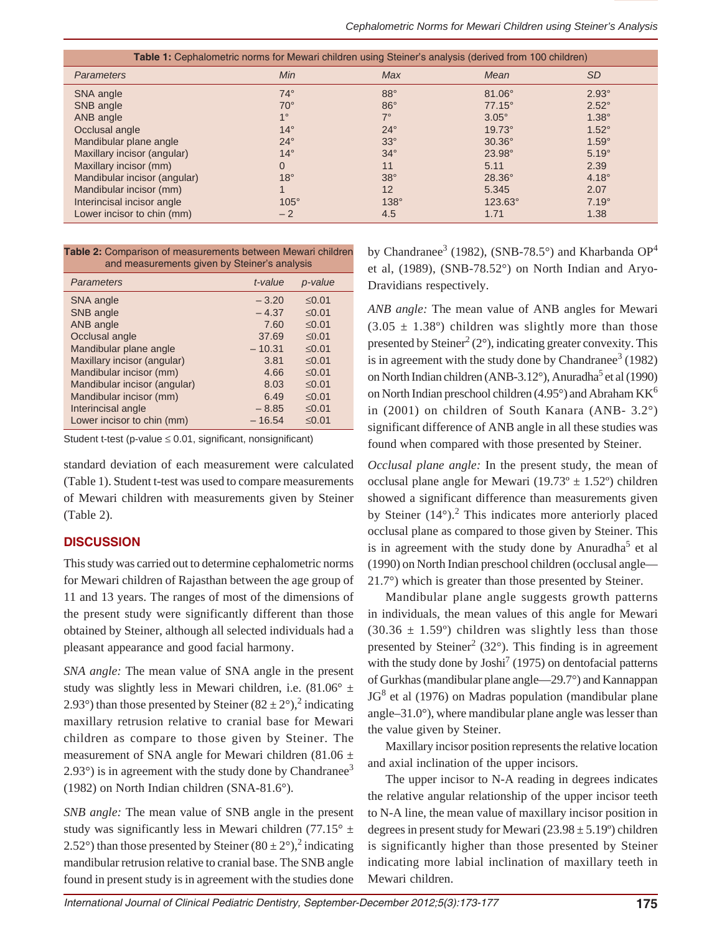| <b>Table 1:</b> Cephalometric norms for Mewari children using Steiner's analysis (derived from 100 children)                             |                                                                                        |                                                                                         |                                                                                                                 |                                                                                                      |  |  |  |
|------------------------------------------------------------------------------------------------------------------------------------------|----------------------------------------------------------------------------------------|-----------------------------------------------------------------------------------------|-----------------------------------------------------------------------------------------------------------------|------------------------------------------------------------------------------------------------------|--|--|--|
| <b>Parameters</b>                                                                                                                        | Min                                                                                    | Max                                                                                     | Mean                                                                                                            | <b>SD</b>                                                                                            |  |  |  |
| SNA angle<br>SNB angle<br>ANB angle<br>Occlusal angle<br>Mandibular plane angle<br>Maxillary incisor (angular)<br>Maxillary incisor (mm) | $74^\circ$<br>$70^\circ$<br>$1^{\circ}$<br>$14^\circ$<br>$24^\circ$<br>$14^\circ$<br>0 | $88^\circ$<br>$86^\circ$<br>$7^\circ$<br>$24^{\circ}$<br>$33^\circ$<br>$34^\circ$<br>11 | $81.06^\circ$<br>$77.15^{\circ}$<br>$3.05^\circ$<br>$19.73^{\circ}$<br>$30.36^\circ$<br>$23.98^{\circ}$<br>5.11 | $2.93^\circ$<br>$2.52^\circ$<br>$1.38^\circ$<br>$1.52^\circ$<br>$1.59^\circ$<br>$5.19^\circ$<br>2.39 |  |  |  |
| Mandibular incisor (angular)<br>Mandibular incisor (mm)<br>Interincisal incisor angle<br>Lower incisor to chin (mm)                      | $18^\circ$<br>$105^\circ$<br>$-2$                                                      | $38^\circ$<br>12<br>$138^\circ$<br>4.5                                                  | $28.36^\circ$<br>5.345<br>123.63°<br>1.71                                                                       | $4.18^\circ$<br>2.07<br>$7.19^\circ$<br>1.38                                                         |  |  |  |

| Table 2: Comparison of measurements between Mewari children |  |
|-------------------------------------------------------------|--|
| and measurements given by Steiner's analysis                |  |

| <b>Parameters</b>            | t-value  | p-value     |  |
|------------------------------|----------|-------------|--|
| SNA angle                    | $-3.20$  | < 0.01      |  |
| SNB angle                    | $-4.37$  | < 0.01      |  |
| ANB angle                    | 7.60     | < 0.01      |  |
| Occlusal angle               | 37.69    | < 0.01      |  |
| Mandibular plane angle       | $-10.31$ | < 0.01      |  |
| Maxillary incisor (angular)  | 3.81     | $\leq 0.01$ |  |
| Mandibular incisor (mm)      | 4.66     | < 0.01      |  |
| Mandibular incisor (angular) | 8.03     | < 0.01      |  |
| Mandibular incisor (mm)      | 6.49     | < 0.01      |  |
| Interincisal angle           | $-8.85$  | $≤0.01$     |  |
| Lower incisor to chin (mm)   | $-16.54$ | $≤0.01$     |  |

Student t-test (p-value  $\leq 0.01$ , significant, nonsignificant)

standard deviation of each measurement were calculated (Table 1). Student t-test was used to compare measurements of Mewari children with measurements given by Steiner (Table 2).

# **DISCUSSION**

This study was carried out to determine cephalometric norms for Mewari children of Rajasthan between the age group of 11 and 13 years. The ranges of most of the dimensions of the present study were significantly different than those obtained by Steiner, although all selected individuals had a pleasant appearance and good facial harmony.

*SNA angle:* The mean value of SNA angle in the present study was slightly less in Mewari children, i.e.  $(81.06^{\circ} \pm$ 2.93°) than those presented by Steiner  $(82 \pm 2^{\circ})$ , indicating maxillary retrusion relative to cranial base for Mewari children as compare to those given by Steiner. The measurement of SNA angle for Mewari children (81.06  $\pm$  $2.93^{\circ}$ ) is in agreement with the study done by Chandranee<sup>3</sup> (1982) on North Indian children (SNA-81.6°).

*SNB angle:* The mean value of SNB angle in the present study was significantly less in Mewari children (77.15 $\degree$  ± 2.52°) than those presented by Steiner  $(80 \pm 2^{\circ})$ ,<sup>2</sup> indicating mandibular retrusion relative to cranial base. The SNB angle found in present study is in agreement with the studies done

by Chandranee<sup>3</sup> (1982), (SNB-78.5 $^{\circ}$ ) and Kharbanda OP<sup>4</sup> et al, (1989), (SNB-78.52°) on North Indian and Aryo-Dravidians respectively.

*ANB angle:* The mean value of ANB angles for Mewari  $(3.05 \pm 1.38^{\circ})$  children was slightly more than those presented by Steiner<sup>2</sup> (2°), indicating greater convexity. This is in agreement with the study done by Chandranee<sup>3</sup> (1982) on North Indian children (ANB-3.12°), Anuradha<sup>5</sup> et al (1990) on North Indian preschool children (4.95 $^{\circ}$ ) and Abraham KK<sup>6</sup> in (2001) on children of South Kanara (ANB- 3.2°) significant difference of ANB angle in all these studies was found when compared with those presented by Steiner.

*Occlusal plane angle:* In the present study, the mean of occlusal plane angle for Mewari (19.73 $\degree$  ± 1.52 $\degree$ ) children showed a significant difference than measurements given by Steiner  $(14^{\circ})$ .<sup>2</sup> This indicates more anteriorly placed occlusal plane as compared to those given by Steiner. This is in agreement with the study done by Anuradha<sup>5</sup> et al (1990) on North Indian preschool children (occlusal angle— 21.7°) which is greater than those presented by Steiner.

Mandibular plane angle suggests growth patterns in individuals, the mean values of this angle for Mewari  $(30.36 \pm 1.59^{\circ})$  children was slightly less than those presented by Steiner<sup>2</sup> (32 $^{\circ}$ ). This finding is in agreement with the study done by  $Josh<sup>7</sup>$  (1975) on dentofacial patterns of Gurkhas (mandibular plane angle—29.7°) and Kannappan  $JG<sup>8</sup>$  et al (1976) on Madras population (mandibular plane angle–31.0°), where mandibular plane angle was lesser than the value given by Steiner.

Maxillary incisor position represents the relative location and axial inclination of the upper incisors.

The upper incisor to N-A reading in degrees indicates the relative angular relationship of the upper incisor teeth to N-A line, the mean value of maxillary incisor position in degrees in present study for Mewari  $(23.98 \pm 5.19^{\circ})$  children is significantly higher than those presented by Steiner indicating more labial inclination of maxillary teeth in Mewari children.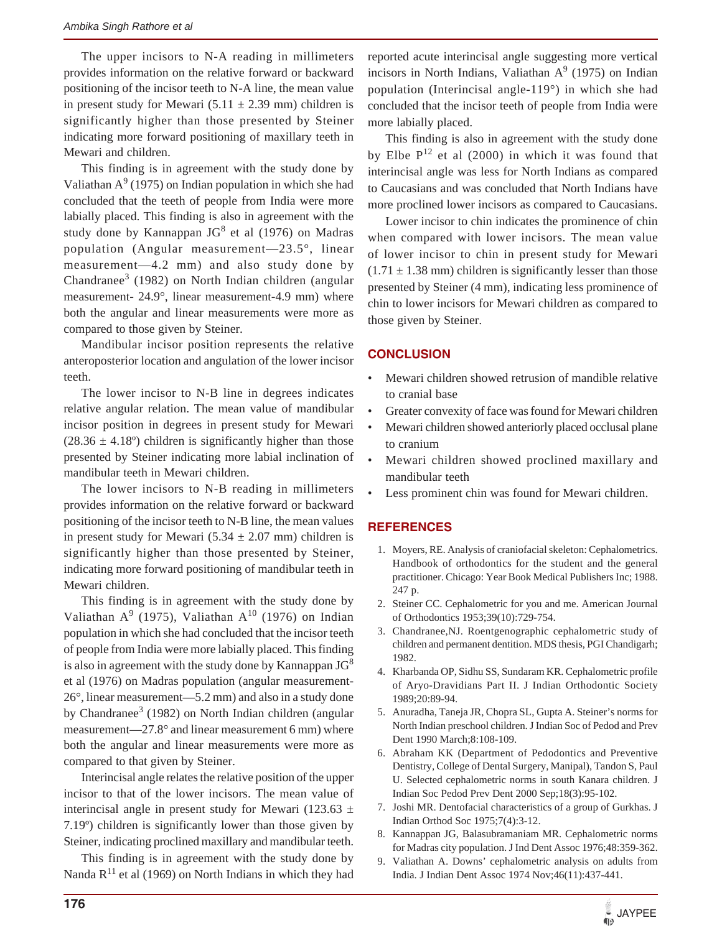The upper incisors to N-A reading in millimeters provides information on the relative forward or backward positioning of the incisor teeth to N-A line, the mean value in present study for Mewari  $(5.11 \pm 2.39 \text{ mm})$  children is significantly higher than those presented by Steiner indicating more forward positioning of maxillary teeth in Mewari and children.

This finding is in agreement with the study done by Valiathan  $A^9$  (1975) on Indian population in which she had concluded that the teeth of people from India were more labially placed. This finding is also in agreement with the study done by Kannappan  $JG<sup>8</sup>$  et al (1976) on Madras population (Angular measurement—23.5°, linear measurement—4.2 mm) and also study done by Chandranee<sup>3</sup> (1982) on North Indian children (angular measurement- 24.9°, linear measurement-4.9 mm) where both the angular and linear measurements were more as compared to those given by Steiner.

Mandibular incisor position represents the relative anteroposterior location and angulation of the lower incisor teeth.

The lower incisor to N-B line in degrees indicates relative angular relation. The mean value of mandibular incisor position in degrees in present study for Mewari  $(28.36 \pm 4.18^{\circ})$  children is significantly higher than those presented by Steiner indicating more labial inclination of mandibular teeth in Mewari children.

The lower incisors to N-B reading in millimeters provides information on the relative forward or backward positioning of the incisor teeth to N-B line, the mean values in present study for Mewari (5.34  $\pm$  2.07 mm) children is significantly higher than those presented by Steiner, indicating more forward positioning of mandibular teeth in Mewari children.

This finding is in agreement with the study done by Valiathan  $A^9$  (1975), Valiathan  $A^{10}$  (1976) on Indian population in which she had concluded that the incisor teeth of people from India were more labially placed. This finding is also in agreement with the study done by Kannappan  $JG^8$ et al (1976) on Madras population (angular measurement-26°, linear measurement—5.2 mm) and also in a study done by Chandranee<sup>3</sup> (1982) on North Indian children (angular measurement—27.8° and linear measurement 6 mm) where both the angular and linear measurements were more as compared to that given by Steiner.

Interincisal angle relates the relative position of the upper incisor to that of the lower incisors. The mean value of interincisal angle in present study for Mewari (123.63  $\pm$ 7.19º) children is significantly lower than those given by Steiner, indicating proclined maxillary and mandibular teeth.

This finding is in agreement with the study done by Nanda  $R^{11}$  et al (1969) on North Indians in which they had

reported acute interincisal angle suggesting more vertical incisors in North Indians, Valiathan  $A<sup>9</sup>$  (1975) on Indian population (Interincisal angle-119°) in which she had concluded that the incisor teeth of people from India were more labially placed.

This finding is also in agreement with the study done by Elbe  $P^{12}$  et al (2000) in which it was found that interincisal angle was less for North Indians as compared to Caucasians and was concluded that North Indians have more proclined lower incisors as compared to Caucasians.

Lower incisor to chin indicates the prominence of chin when compared with lower incisors. The mean value of lower incisor to chin in present study for Mewari  $(1.71 \pm 1.38 \text{ mm})$  children is significantly lesser than those presented by Steiner (4 mm), indicating less prominence of chin to lower incisors for Mewari children as compared to those given by Steiner.

# **CONCLUSION**

- Mewari children showed retrusion of mandible relative to cranial base
- Greater convexity of face was found for Mewari children
- Mewari children showed anteriorly placed occlusal plane to cranium
- Mewari children showed proclined maxillary and mandibular teeth
- Less prominent chin was found for Mewari children.

# **REFERENCES**

- 1. Moyers, RE. Analysis of craniofacial skeleton: Cephalometrics. Handbook of orthodontics for the student and the general practitioner. Chicago: Year Book Medical Publishers Inc; 1988. 247 p.
- 2. Steiner CC. Cephalometric for you and me. American Journal of Orthodontics 1953;39(10):729-754.
- 3. Chandranee,NJ. Roentgenographic cephalometric study of children and permanent dentition. MDS thesis, PGI Chandigarh; 1982.
- 4. Kharbanda OP, Sidhu SS, Sundaram KR. Cephalometric profile of Aryo-Dravidians Part II. J Indian Orthodontic Society 1989;20:89-94.
- 5. Anuradha, Taneja JR, Chopra SL, Gupta A. Steiner's norms for North Indian preschool children. J Indian Soc of Pedod and Prev Dent 1990 March;8:108-109.
- 6. Abraham KK (Department of Pedodontics and Preventive Dentistry, College of Dental Surgery, Manipal), Tandon S, Paul U. Selected cephalometric norms in south Kanara children. J Indian Soc Pedod Prev Dent 2000 Sep;18(3):95-102.
- 7. Joshi MR. Dentofacial characteristics of a group of Gurkhas. J Indian Orthod Soc 1975;7(4):3-12.
- 8. Kannappan JG, Balasubramaniam MR. Cephalometric norms for Madras city population. J Ind Dent Assoc 1976;48:359-362.
- 9. Valiathan A. Downs' cephalometric analysis on adults from India. J Indian Dent Assoc 1974 Nov;46(11):437-441.